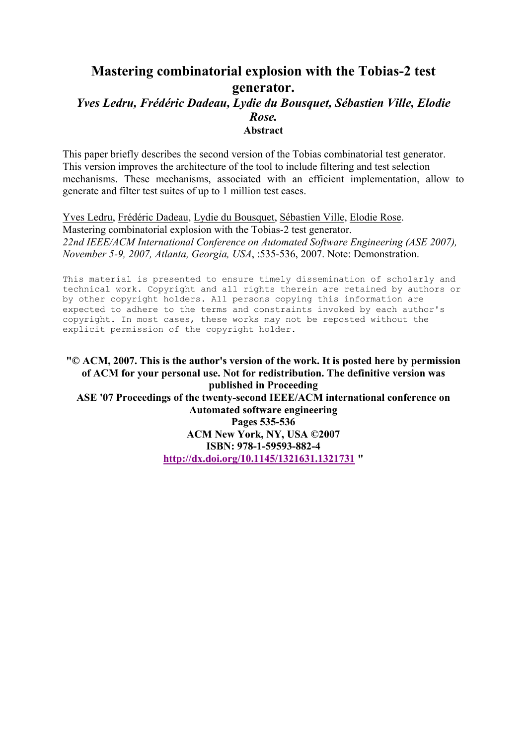## **Mastering combinatorial explosion with the Tobias-2 test generator.**  *Yves Ledru, Frédéric Dadeau, Lydie du Bousquet, Sébastien Ville, Elodie Rose.*  **Abstract**

This paper briefly describes the second version of the Tobias combinatorial test generator. This version improves the architecture of the tool to include filtering and test selection mechanisms. These mechanisms, associated with an efficient implementation, allow to generate and filter test suites of up to 1 million test cases.

Yves Ledru, Frédéric Dadeau, Lydie du Bousquet, Sébastien Ville, Elodie Rose. Mastering combinatorial explosion with the Tobias-2 test generator. *22nd IEEE/ACM International Conference on Automated Software Engineering (ASE 2007), November 5-9, 2007, Atlanta, Georgia, USA*, :535-536, 2007. Note: Demonstration.

This material is presented to ensure timely dissemination of scholarly and technical work. Copyright and all rights therein are retained by authors or by other copyright holders. All persons copying this information are expected to adhere to the terms and constraints invoked by each author's copyright. In most cases, these works may not be reposted without the explicit permission of the copyright holder.

**"© ACM, 2007. This is the author's version of the work. It is posted here by permission of ACM for your personal use. Not for redistribution. The definitive version was published in Proceeding ASE '07 Proceedings of the twenty-second IEEE/ACM international conference on Automated software engineering Pages 535-536 ACM New York, NY, USA ©2007 ISBN: 978-1-59593-882-4 http://dx.doi.org/10.1145/1321631.1321731 "**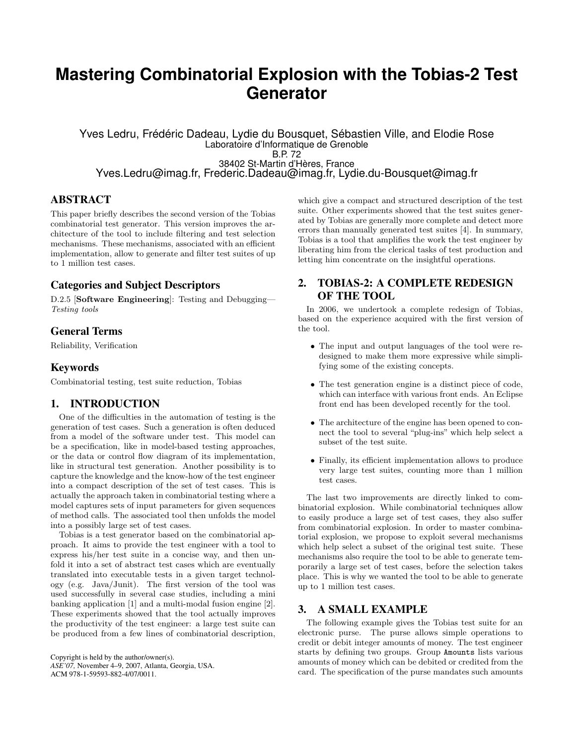# **Mastering Combinatorial Explosion with the Tobias-2 Test Generator**

Yves Ledru, Frédéric Dadeau, Lydie du Bousquet, Sébastien Ville, and Elodie Rose Laboratoire d'Informatique de Grenoble B.P. 72 38402 St-Martin d'Hères, France Yves.Ledru@imag.fr, Frederic.Dadeau@imag.fr, Lydie.du-Bousquet@imag.fr

### ABSTRACT

This paper briefly describes the second version of the Tobias combinatorial test generator. This version improves the architecture of the tool to include filtering and test selection mechanisms. These mechanisms, associated with an efficient implementation, allow to generate and filter test suites of up to 1 million test cases.

### Categories and Subject Descriptors

D.2.5 [Software Engineering]: Testing and Debugging— Testing tools

## General Terms

Reliability, Verification

## Keywords

Combinatorial testing, test suite reduction, Tobias

### 1. INTRODUCTION

One of the difficulties in the automation of testing is the generation of test cases. Such a generation is often deduced from a model of the software under test. This model can be a specification, like in model-based testing approaches, or the data or control flow diagram of its implementation, like in structural test generation. Another possibility is to capture the knowledge and the know-how of the test engineer into a compact description of the set of test cases. This is actually the approach taken in combinatorial testing where a model captures sets of input parameters for given sequences of method calls. The associated tool then unfolds the model into a possibly large set of test cases.

Tobias is a test generator based on the combinatorial approach. It aims to provide the test engineer with a tool to express his/her test suite in a concise way, and then unfold it into a set of abstract test cases which are eventually translated into executable tests in a given target technology (e.g. Java/Junit). The first version of the tool was used successfully in several case studies, including a mini banking application [1] and a multi-modal fusion engine [2]. These experiments showed that the tool actually improves the productivity of the test engineer: a large test suite can be produced from a few lines of combinatorial description,

Copyright is held by the author/owner(s). *ASE'07,* November 4–9, 2007, Atlanta, Georgia, USA. ACM 978-1-59593-882-4/07/0011.

which give a compact and structured description of the test suite. Other experiments showed that the test suites generated by Tobias are generally more complete and detect more errors than manually generated test suites [4]. In summary, Tobias is a tool that amplifies the work the test engineer by liberating him from the clerical tasks of test production and letting him concentrate on the insightful operations.

## 2. TOBIAS-2: A COMPLETE REDESIGN OF THE TOOL

In 2006, we undertook a complete redesign of Tobias, based on the experience acquired with the first version of the tool.

- The input and output languages of the tool were redesigned to make them more expressive while simplifying some of the existing concepts.
- The test generation engine is a distinct piece of code, which can interface with various front ends. An Eclipse front end has been developed recently for the tool.
- The architecture of the engine has been opened to connect the tool to several "plug-ins" which help select a subset of the test suite.
- Finally, its efficient implementation allows to produce very large test suites, counting more than 1 million test cases.

The last two improvements are directly linked to combinatorial explosion. While combinatorial techniques allow to easily produce a large set of test cases, they also suffer from combinatorial explosion. In order to master combinatorial explosion, we propose to exploit several mechanisms which help select a subset of the original test suite. These mechanisms also require the tool to be able to generate temporarily a large set of test cases, before the selection takes place. This is why we wanted the tool to be able to generate up to 1 million test cases.

#### 3. A SMALL EXAMPLE

The following example gives the Tobias test suite for an electronic purse. The purse allows simple operations to credit or debit integer amounts of money. The test engineer starts by defining two groups. Group Amounts lists various amounts of money which can be debited or credited from the card. The specification of the purse mandates such amounts